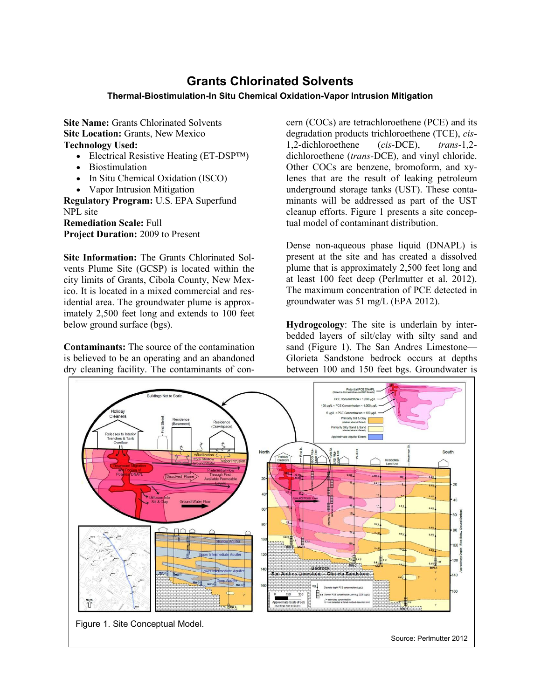## **Grants Chlorinated Solvents**

## **Thermal-Biostimulation-In Situ Chemical Oxidation-Vapor Intrusion Mitigation**

**Site Name:** Grants Chlorinated Solvents **Site Location:** Grants, New Mexico **Technology Used:**

- Electrical Resistive Heating (ET-DSP<sup>TM</sup>)
- Biostimulation
- In Situ Chemical Oxidation (ISCO)
- Vapor Intrusion Mitigation

**Regulatory Program:** U.S. EPA Superfund NPL site

**Remediation Scale:** Full **Project Duration:** 2009 to Present

**Site Information:** The Grants Chlorinated Solvents Plume Site (GCSP) is located within the city limits of Grants, Cibola County, New Mexico. It is located in a mixed commercial and residential area. The groundwater plume is approximately 2,500 feet long and extends to 100 feet below ground surface (bgs).

**Contaminants:** The source of the contamination is believed to be an operating and an abandoned dry cleaning facility. The contaminants of con-

cern (COCs) are tetrachloroethene (PCE) and its degradation products trichloroethene (TCE), *cis*-1,2-dichloroethene (*cis-*DCE), *trans*-1,2 dichloroethene (*trans-*DCE), and vinyl chloride. Other COCs are benzene, bromoform, and xylenes that are the result of leaking petroleum underground storage tanks (UST). These contaminants will be addressed as part of the UST cleanup efforts. Figure 1 presents a site conceptual model of contaminant distribution.

Dense non-aqueous phase liquid (DNAPL) is present at the site and has created a dissolved plume that is approximately 2,500 feet long and at least 100 feet deep (Perlmutter et al. 2012). The maximum concentration of PCE detected in groundwater was 51 mg/L (EPA 2012).

**Hydrogeology**: The site is underlain by interbedded layers of silt/clay with silty sand and sand (Figure 1). The San Andres Limestone— Glorieta Sandstone bedrock occurs at depths between 100 and 150 feet bgs. Groundwater is

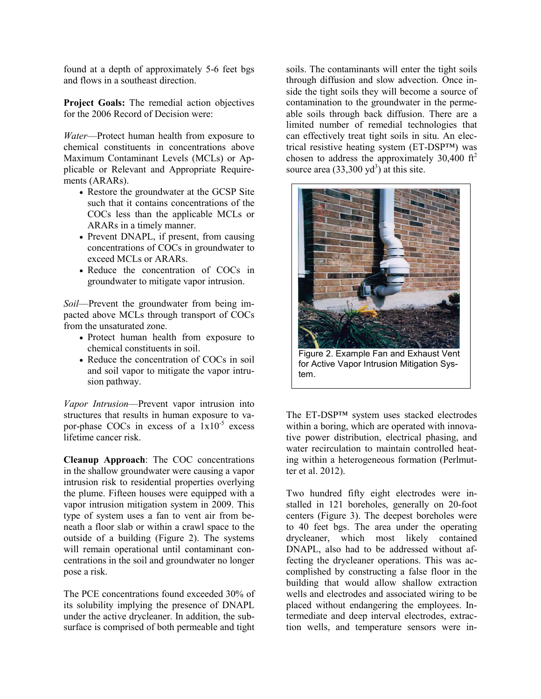found at a depth of approximately 5-6 feet bgs and flows in a southeast direction.

**Project Goals:** The remedial action objectives for the 2006 Record of Decision were:

*Water*—Protect human health from exposure to chemical constituents in concentrations above Maximum Contaminant Levels (MCLs) or Applicable or Relevant and Appropriate Requirements (ARARs).

- Restore the groundwater at the GCSP Site such that it contains concentrations of the COCs less than the applicable MCLs or ARARs in a timely manner.
- Prevent DNAPL, if present, from causing concentrations of COCs in groundwater to exceed MCLs or ARARs.
- Reduce the concentration of COCs in groundwater to mitigate vapor intrusion.

*Soil*—Prevent the groundwater from being impacted above MCLs through transport of COCs from the unsaturated zone.

- Protect human health from exposure to chemical constituents in soil.
- Reduce the concentration of COCs in soil and soil vapor to mitigate the vapor intrusion pathway.

*Vapor Intrusion*—Prevent vapor intrusion into structures that results in human exposure to vapor-phase COCs in excess of a  $1x10^{-5}$  excess lifetime cancer risk.

**Cleanup Approach**: The COC concentrations in the shallow groundwater were causing a vapor intrusion risk to residential properties overlying the plume. Fifteen houses were equipped with a vapor intrusion mitigation system in 2009. This type of system uses a fan to vent air from beneath a floor slab or within a crawl space to the outside of a building (Figure 2). The systems will remain operational until contaminant concentrations in the soil and groundwater no longer pose a risk.

The PCE concentrations found exceeded 30% of its solubility implying the presence of DNAPL under the active drycleaner. In addition, the subsurface is comprised of both permeable and tight soils. The contaminants will enter the tight soils through diffusion and slow advection. Once inside the tight soils they will become a source of contamination to the groundwater in the permeable soils through back diffusion. There are a limited number of remedial technologies that can effectively treat tight soils in situ. An electrical resistive heating system (ET-DSP™) was chosen to address the approximately  $30,400 \text{ ft}^2$ source area  $(33,300 \text{ yd}^3)$  at this site.



Figure 2. Example Fan and Exhaust Vent for Active Vapor Intrusion Mitigation System.

The ET-DSP™ system uses stacked electrodes within a boring, which are operated with innovative power distribution, electrical phasing, and water recirculation to maintain controlled heating within a heterogeneous formation (Perlmutter et al. 2012).

Two hundred fifty eight electrodes were installed in 121 boreholes, generally on 20-foot centers (Figure 3). The deepest boreholes were to 40 feet bgs. The area under the operating drycleaner, which most likely contained DNAPL, also had to be addressed without affecting the drycleaner operations. This was accomplished by constructing a false floor in the building that would allow shallow extraction wells and electrodes and associated wiring to be placed without endangering the employees. Intermediate and deep interval electrodes, extraction wells, and temperature sensors were in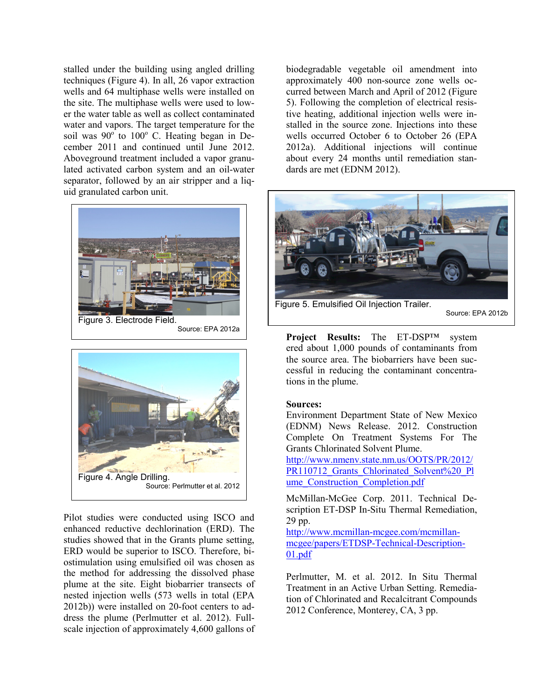stalled under the building using angled drilling techniques (Figure 4). In all, 26 vapor extraction wells and 64 multiphase wells were installed on the site. The multiphase wells were used to lower the water table as well as collect contaminated water and vapors. The target temperature for the soil was  $90^{\circ}$  to  $100^{\circ}$  C. Heating began in December 2011 and continued until June 2012. Aboveground treatment included a vapor granulated activated carbon system and an oil-water separator, followed by an air stripper and a liquid granulated carbon unit.





Pilot studies were conducted using ISCO and enhanced reductive dechlorination (ERD). The studies showed that in the Grants plume setting, ERD would be superior to ISCO. Therefore, biostimulation using emulsified oil was chosen as the method for addressing the dissolved phase plume at the site. Eight biobarrier transects of nested injection wells (573 wells in total (EPA 2012b)) were installed on 20-foot centers to address the plume (Perlmutter et al. 2012). Fullscale injection of approximately 4,600 gallons of biodegradable vegetable oil amendment into approximately 400 non-source zone wells occurred between March and April of 2012 (Figure 5). Following the completion of electrical resistive heating, additional injection wells were installed in the source zone. Injections into these wells occurred October 6 to October 26 (EPA 2012a). Additional injections will continue about every 24 months until remediation standards are met (EDNM 2012).



Source: EPA 2012b

**Project Results:** The ET-DSP™ system ered about 1,000 pounds of contaminants from the source area. The biobarriers have been successful in reducing the contaminant concentrations in the plume.

## **Sources:**

Environment Department State of New Mexico (EDNM) News Release. 2012. Construction Complete On Treatment Systems For The Grants Chlorinated Solvent Plume.

[http://www.nmenv.state.nm.us/OOTS/PR/2012/](http://www.nmenv.state.nm.us/OOTS/PR/2012/PR110712_Grants_Chlorinated_Solvent%20_Plume_Construction_Completion.pdf) [PR110712\\_Grants\\_Chlorinated\\_Solvent%20\\_Pl](http://www.nmenv.state.nm.us/OOTS/PR/2012/PR110712_Grants_Chlorinated_Solvent%20_Plume_Construction_Completion.pdf) [ume\\_Construction\\_Completion.pdf](http://www.nmenv.state.nm.us/OOTS/PR/2012/PR110712_Grants_Chlorinated_Solvent%20_Plume_Construction_Completion.pdf)

McMillan-McGee Corp. 2011. Technical Description ET-DSP In-Situ Thermal Remediation, 29 pp.

[http://www.mcmillan-mcgee.com/mcmillan](http://www.mcmillan-mcgee.com/mcmillan-mcgee/papers/ETDSP-Technical-Description-01.pdf)[mcgee/papers/ETDSP-Technical-Description-](http://www.mcmillan-mcgee.com/mcmillan-mcgee/papers/ETDSP-Technical-Description-01.pdf)[01.pdf](http://www.mcmillan-mcgee.com/mcmillan-mcgee/papers/ETDSP-Technical-Description-01.pdf)

Perlmutter, M. et al. 2012. In Situ Thermal Treatment in an Active Urban Setting. Remediation of Chlorinated and Recalcitrant Compounds 2012 Conference, Monterey, CA, 3 pp.